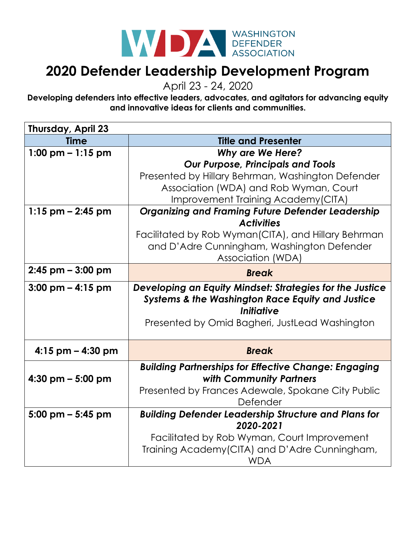

## **2020 Defender Leadership Development Program**

April 23 - 24, 2020

**Developing defenders into effective leaders, advocates, and agitators for advancing equity and innovative ideas for clients and communities.**

| Thursday, April 23                  |                                                             |
|-------------------------------------|-------------------------------------------------------------|
| <b>Time</b>                         | <b>Title and Presenter</b>                                  |
| 1:00 pm $-$ 1:15 pm                 | <b>Why are We Here?</b>                                     |
|                                     | <b>Our Purpose, Principals and Tools</b>                    |
|                                     | Presented by Hillary Behrman, Washington Defender           |
|                                     | Association (WDA) and Rob Wyman, Court                      |
|                                     | Improvement Training Academy (CITA)                         |
| $1:15$ pm $- 2:45$ pm               | <b>Organizing and Framing Future Defender Leadership</b>    |
|                                     | <b>Activities</b>                                           |
|                                     | Facilitated by Rob Wyman(CITA), and Hillary Behrman         |
|                                     | and D'Adre Cunningham, Washington Defender                  |
|                                     | Association (WDA)                                           |
| $2:45$ pm $-3:00$ pm                | <b>Break</b>                                                |
| $3:00$ pm $-4:15$ pm                | Developing an Equity Mindset: Strategies for the Justice    |
|                                     | <b>Systems &amp; the Washington Race Equity and Justice</b> |
|                                     | Initiative                                                  |
|                                     | Presented by Omid Bagheri, JustLead Washington              |
|                                     |                                                             |
| $4:15$ pm $-4:30$ pm                | <b>Break</b>                                                |
|                                     | <b>Building Partnerships for Effective Change: Engaging</b> |
| 4:30 pm $-$ 5:00 pm                 | with Community Partners                                     |
|                                     | Presented by Frances Adewale, Spokane City Public           |
|                                     | Defender                                                    |
| $5:00 \text{ pm} - 5:45 \text{ pm}$ | <b>Building Defender Leadership Structure and Plans for</b> |
|                                     | 2020-2021                                                   |
|                                     | Facilitated by Rob Wyman, Court Improvement                 |
|                                     | Training Academy (CITA) and D'Adre Cunningham,              |
|                                     | WDA                                                         |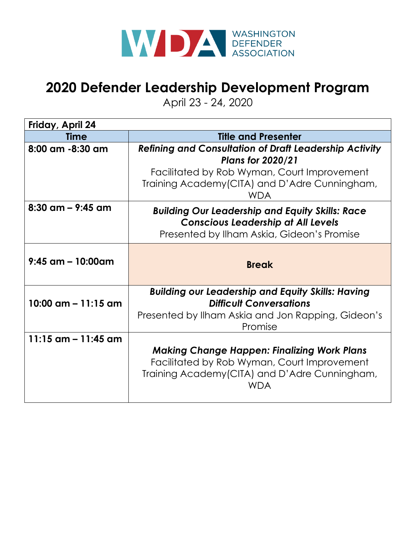

# **2020 Defender Leadership Development Program**

April 23 - 24, 2020

| Friday, April 24      |                                                                                                                                                                                                          |
|-----------------------|----------------------------------------------------------------------------------------------------------------------------------------------------------------------------------------------------------|
| Time                  | <b>Title and Presenter</b>                                                                                                                                                                               |
| 8:00 am -8:30 am      | <b>Refining and Consultation of Draft Leadership Activity</b><br><b>Plans for 2020/21</b><br>Facilitated by Rob Wyman, Court Improvement<br>Training Academy (CITA) and D'Adre Cunningham,<br><b>WDA</b> |
| $8:30$ am – 9:45 am   | <b>Building Our Leadership and Equity Skills: Race</b><br><b>Conscious Leadership at All Levels</b><br>Presented by Ilham Askia, Gideon's Promise                                                        |
| $9:45$ am - 10:00am   | <b>Break</b>                                                                                                                                                                                             |
| 10:00 $am - 11:15$ am | <b>Building our Leadership and Equity Skills: Having</b><br><b>Difficult Conversations</b><br>Presented by Ilham Askia and Jon Rapping, Gideon's<br>Promise                                              |
| 11:15 $am - 11:45$ am | <b>Making Change Happen: Finalizing Work Plans</b><br>Facilitated by Rob Wyman, Court Improvement<br>Training Academy (CITA) and D'Adre Cunningham,<br><b>WDA</b>                                        |